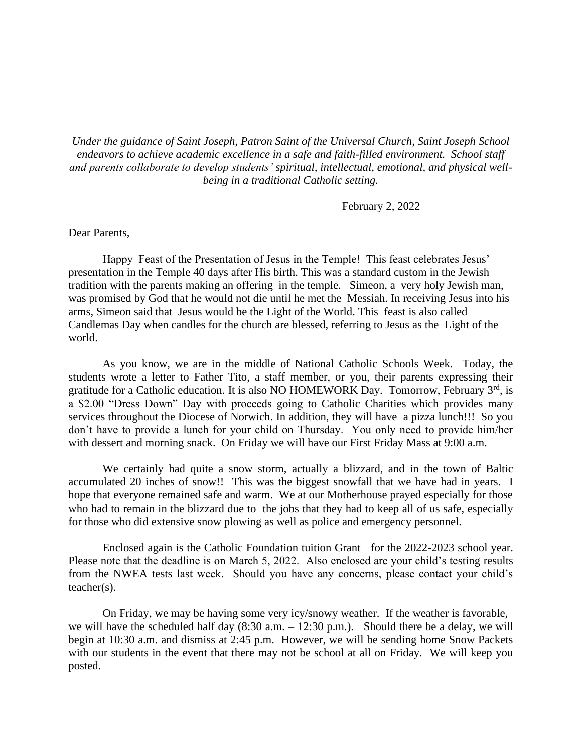*Under the guidance of Saint Joseph, Patron Saint of the Universal Church, Saint Joseph School endeavors to achieve academic excellence in a safe and faith-filled environment. School staff and parents collaborate to develop students' spiritual, intellectual, emotional, and physical wellbeing in a traditional Catholic setting.*

February 2, 2022

## Dear Parents,

Happy Feast of the Presentation of Jesus in the Temple! This feast celebrates Jesus' presentation in the Temple 40 days after His birth. This was a standard custom in the Jewish tradition with the parents making an offering in the temple. Simeon, a very holy Jewish man, was promised by God that he would not die until he met the Messiah. In receiving Jesus into his arms, Simeon said that Jesus would be the Light of the World. This feast is also called Candlemas Day when candles for the church are blessed, referring to Jesus as the Light of the world.

As you know, we are in the middle of National Catholic Schools Week. Today, the students wrote a letter to Father Tito, a staff member, or you, their parents expressing their gratitude for a Catholic education. It is also NO HOMEWORK Day. Tomorrow, February  $3<sup>rd</sup>$ , is a \$2.00 "Dress Down" Day with proceeds going to Catholic Charities which provides many services throughout the Diocese of Norwich. In addition, they will have a pizza lunch!!! So you don't have to provide a lunch for your child on Thursday. You only need to provide him/her with dessert and morning snack. On Friday we will have our First Friday Mass at 9:00 a.m.

We certainly had quite a snow storm, actually a blizzard, and in the town of Baltic accumulated 20 inches of snow!! This was the biggest snowfall that we have had in years. I hope that everyone remained safe and warm. We at our Motherhouse prayed especially for those who had to remain in the blizzard due to the jobs that they had to keep all of us safe, especially for those who did extensive snow plowing as well as police and emergency personnel.

Enclosed again is the Catholic Foundation tuition Grant for the 2022-2023 school year. Please note that the deadline is on March 5, 2022. Also enclosed are your child's testing results from the NWEA tests last week. Should you have any concerns, please contact your child's teacher(s).

On Friday, we may be having some very icy/snowy weather. If the weather is favorable, we will have the scheduled half day  $(8:30 \text{ a.m.} - 12:30 \text{ p.m.})$ . Should there be a delay, we will begin at 10:30 a.m. and dismiss at 2:45 p.m. However, we will be sending home Snow Packets with our students in the event that there may not be school at all on Friday. We will keep you posted.